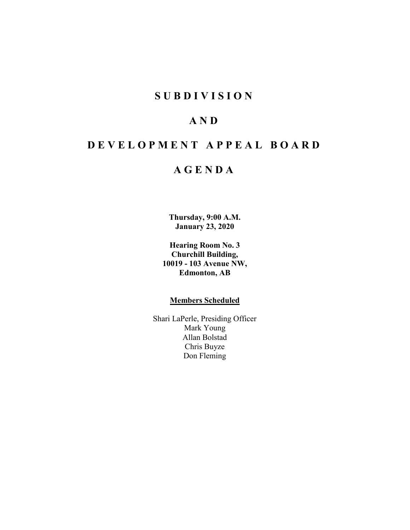## **SUBDIVISION**

## **AND**

# **DEVELOPMENT APPEAL BOARD**

## **AGENDA**

**Thursday, 9:00 A.M. January 23, 2020**

**Hearing Room No. 3 Churchill Building, 10019 - 103 Avenue NW, Edmonton, AB**

### **Members Scheduled**

Shari LaPerle, Presiding Officer Mark Young Allan Bolstad Chris Buyze Don Fleming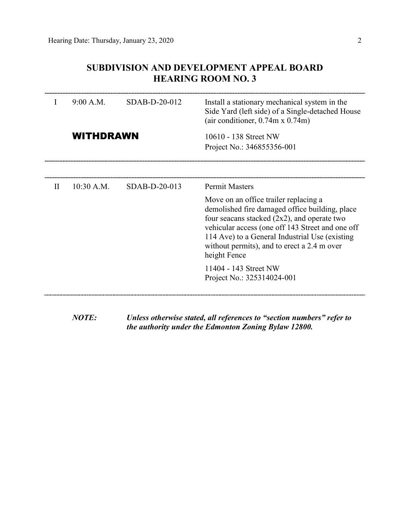## **SUBDIVISION AND DEVELOPMENT APPEAL BOARD HEARING ROOM NO. 3**

| I | 9:00 A.M.        | SDAB-D-20-012   | Install a stationary mechanical system in the<br>Side Yard (left side) of a Single-detached House<br>(air conditioner, $0.74$ m x $0.74$ m)                                                                                                                                                                                             |  |  |  |
|---|------------------|-----------------|-----------------------------------------------------------------------------------------------------------------------------------------------------------------------------------------------------------------------------------------------------------------------------------------------------------------------------------------|--|--|--|
|   | <b>WITHDRAWN</b> |                 | 10610 - 138 Street NW<br>Project No.: 346855356-001                                                                                                                                                                                                                                                                                     |  |  |  |
|   |                  |                 |                                                                                                                                                                                                                                                                                                                                         |  |  |  |
| H | $10:30$ A.M.     | $SDAB-D-20-013$ | <b>Permit Masters</b><br>Move on an office trailer replacing a<br>demolished fire damaged office building, place<br>four seacans stacked $(2x2)$ , and operate two<br>vehicular access (one off 143 Street and one off<br>114 Ave) to a General Industrial Use (existing<br>without permits), and to erect a 2.4 m over<br>height Fence |  |  |  |
|   |                  |                 | 11404 - 143 Street NW<br>Project No.: 325314024-001                                                                                                                                                                                                                                                                                     |  |  |  |

*NOTE: Unless otherwise stated, all references to "section numbers" refer to the authority under the Edmonton Zoning Bylaw 12800.*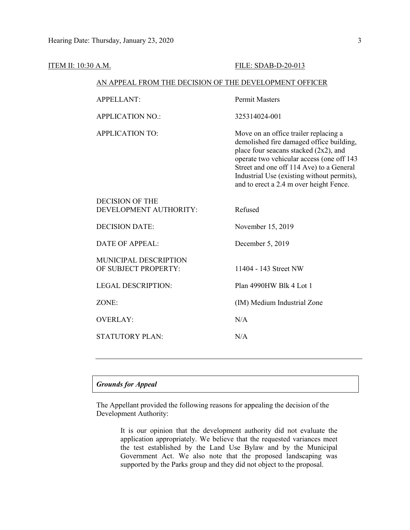| <b>ITEM II: 10:30 A.M.</b> |                                                        | FILE: SDAB-D-20-013                                                                                                                                                                                                                                                                                          |
|----------------------------|--------------------------------------------------------|--------------------------------------------------------------------------------------------------------------------------------------------------------------------------------------------------------------------------------------------------------------------------------------------------------------|
|                            | AN APPEAL FROM THE DECISION OF THE DEVELOPMENT OFFICER |                                                                                                                                                                                                                                                                                                              |
|                            | <b>APPELLANT:</b>                                      | <b>Permit Masters</b>                                                                                                                                                                                                                                                                                        |
|                            | <b>APPLICATION NO.:</b>                                | 325314024-001                                                                                                                                                                                                                                                                                                |
|                            | <b>APPLICATION TO:</b>                                 | Move on an office trailer replacing a<br>demolished fire damaged office building,<br>place four seacans stacked (2x2), and<br>operate two vehicular access (one off 143<br>Street and one off 114 Ave) to a General<br>Industrial Use (existing without permits),<br>and to erect a 2.4 m over height Fence. |
|                            | <b>DECISION OF THE</b><br>DEVELOPMENT AUTHORITY:       | Refused                                                                                                                                                                                                                                                                                                      |
|                            | <b>DECISION DATE:</b>                                  | November 15, 2019                                                                                                                                                                                                                                                                                            |
|                            | <b>DATE OF APPEAL:</b>                                 | December 5, 2019                                                                                                                                                                                                                                                                                             |
|                            | MUNICIPAL DESCRIPTION<br>OF SUBJECT PROPERTY:          | 11404 - 143 Street NW                                                                                                                                                                                                                                                                                        |
|                            | <b>LEGAL DESCRIPTION:</b>                              | Plan 4990HW Blk 4 Lot 1                                                                                                                                                                                                                                                                                      |
|                            | ZONE:                                                  | (IM) Medium Industrial Zone                                                                                                                                                                                                                                                                                  |
|                            | <b>OVERLAY:</b>                                        | N/A                                                                                                                                                                                                                                                                                                          |
|                            | <b>STATUTORY PLAN:</b>                                 | N/A                                                                                                                                                                                                                                                                                                          |
|                            |                                                        |                                                                                                                                                                                                                                                                                                              |

## *Grounds for Appeal*

The Appellant provided the following reasons for appealing the decision of the Development Authority:

> It is our opinion that the development authority did not evaluate the application appropriately. We believe that the requested variances meet the test established by the Land Use Bylaw and by the Municipal Government Act. We also note that the proposed landscaping was supported by the Parks group and they did not object to the proposal.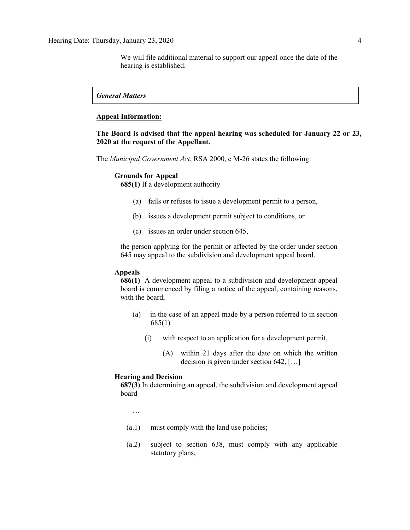We will file additional material to support our appeal once the date of the hearing is established.

### *General Matters*

#### **Appeal Information:**

## **The Board is advised that the appeal hearing was scheduled for January 22 or 23, 2020 at the request of the Appellant.**

The *Municipal Government Act*, RSA 2000, c M-26 states the following:

#### **Grounds for Appeal**

**685(1)** If a development authority

- (a) fails or refuses to issue a development permit to a person,
- (b) issues a development permit subject to conditions, or
- (c) issues an order under section 645,

the person applying for the permit or affected by the order under section 645 may appeal to the subdivision and development appeal board.

#### **Appeals**

**686(1)** A development appeal to a subdivision and development appeal board is commenced by filing a notice of the appeal, containing reasons, with the board,

- (a) in the case of an appeal made by a person referred to in section 685(1)
	- (i) with respect to an application for a development permit,
		- (A) within 21 days after the date on which the written decision is given under section 642, […]

#### **Hearing and Decision**

**687(3)** In determining an appeal, the subdivision and development appeal board

…

- (a.1) must comply with the land use policies;
- (a.2) subject to section 638, must comply with any applicable statutory plans;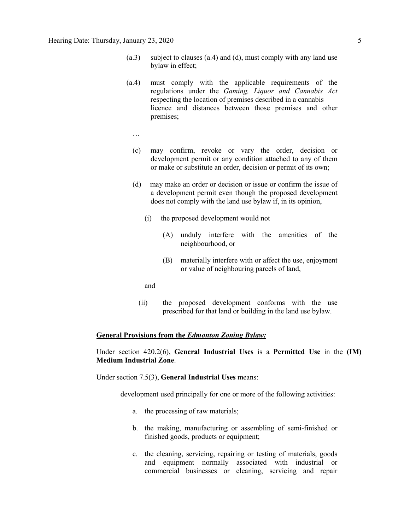- (a.3) subject to clauses (a.4) and (d), must comply with any land use bylaw in effect;
- (a.4) must comply with the applicable requirements of the regulations under the *Gaming, Liquor and Cannabis Act* respecting the location of premises described in a cannabis licence and distances between those premises and other premises;
	- …
	- (c) may confirm, revoke or vary the order, decision or development permit or any condition attached to any of them or make or substitute an order, decision or permit of its own;
	- (d) may make an order or decision or issue or confirm the issue of a development permit even though the proposed development does not comply with the land use bylaw if, in its opinion,
		- (i) the proposed development would not
			- (A) unduly interfere with the amenities of the neighbourhood, or
			- (B) materially interfere with or affect the use, enjoyment or value of neighbouring parcels of land,
		- and
		- (ii) the proposed development conforms with the use prescribed for that land or building in the land use bylaw.

#### **General Provisions from the** *Edmonton Zoning Bylaw:*

Under section 420.2(6), **General Industrial Uses** is a **Permitted Use** in the **(IM) Medium Industrial Zone**.

Under section 7.5(3), **General Industrial Uses** means:

development used principally for one or more of the following activities:

- a. the processing of raw materials;
- b. the making, manufacturing or assembling of semi-finished or finished goods, products or equipment;
- c. the cleaning, servicing, repairing or testing of materials, goods and equipment normally associated with industrial or commercial businesses or cleaning, servicing and repair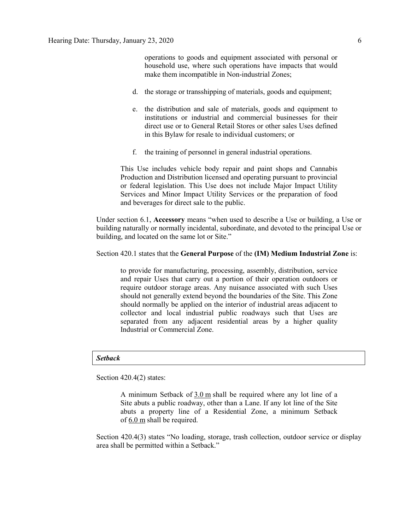operations to goods and equipment associated with personal or household use, where such operations have impacts that would make them incompatible in Non-industrial Zones;

- d. the storage or transshipping of materials, goods and equipment;
- e. the distribution and sale of materials, goods and equipment to institutions or industrial and commercial businesses for their direct use or to General Retail Stores or other sales Uses defined in this Bylaw for resale to individual customers; or
- f. the training of personnel in general industrial operations.

This Use includes vehicle body repair and paint shops and Cannabis Production and Distribution licensed and operating pursuant to provincial or federal legislation. This Use does not include Major Impact Utility Services and Minor Impact Utility Services or the preparation of food and beverages for direct sale to the public.

Under section 6.1, **Accessory** means "when used to describe a Use or building, a Use or building naturally or normally incidental, subordinate, and devoted to the principal Use or building, and located on the same lot or Site."

### Section 420.1 states that the **General Purpose** of the **(IM) Medium Industrial Zone** is:

to provide for manufacturing, processing, assembly, distribution, service and repair Uses that carry out a portion of their operation outdoors or require outdoor storage areas. Any nuisance associated with such Uses should not generally extend beyond the boundaries of the Site. This Zone should normally be applied on the interior of industrial areas adjacent to collector and local industrial public roadways such that Uses are separated from any adjacent residential areas by a higher quality Industrial or Commercial Zone.

#### *Setback*

Section 420.4(2) states:

A minimum Setback of 3.0 m shall be required where any lot line of a Site abuts a public roadway, other than a Lane. If any lot line of the Site abuts a property line of a Residential Zone, a minimum Setback of 6.0 m shall be required.

Section 420.4(3) states "No loading, storage, trash collection, outdoor service or display area shall be permitted within a Setback."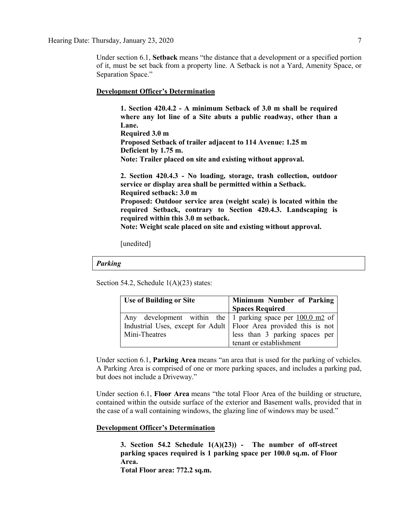Under section 6.1, **Setback** means "the distance that a development or a specified portion of it, must be set back from a property line. A Setback is not a Yard, Amenity Space, or Separation Space."

#### **Development Officer's Determination**

**1. Section 420.4.2 - A minimum Setback of 3.0 m shall be required where any lot line of a Site abuts a public roadway, other than a Lane. Required 3.0 m Proposed Setback of trailer adjacent to 114 Avenue: 1.25 m Deficient by 1.75 m. Note: Trailer placed on site and existing without approval.**

**2. Section 420.4.3 - No loading, storage, trash collection, outdoor service or display area shall be permitted within a Setback. Required setback: 3.0 m Proposed: Outdoor service area (weight scale) is located within the required Setback, contrary to Section 420.4.3. Landscaping is required within this 3.0 m setback. Note: Weight scale placed on site and existing without approval.**

[unedited]

#### *Parking*

Section 54.2, Schedule 1(A)(23) states:

| Use of Building or Site                                              | Minimum Number of Parking      |
|----------------------------------------------------------------------|--------------------------------|
|                                                                      | <b>Spaces Required</b>         |
| Any development within the 1 parking space per $100.0 \text{ m2}$ of |                                |
| Industrial Uses, except for Adult   Floor Area provided this is not  |                                |
| Mini-Theatres                                                        | less than 3 parking spaces per |
|                                                                      | tenant or establishment        |

Under section 6.1, **Parking Area** means "an area that is used for the parking of vehicles. A Parking Area is comprised of one or more parking spaces, and includes a parking pad, but does not include a Driveway."

Under section 6.1, **Floor Area** means "the total Floor Area of the building or structure, contained within the outside surface of the exterior and Basement walls, provided that in the case of a wall containing windows, the glazing line of windows may be used."

#### **Development Officer's Determination**

**3. Section 54.2 Schedule 1(A)(23)) - The number of off-street parking spaces required is 1 parking space per 100.0 sq.m. of Floor Area.**

**Total Floor area: 772.2 sq.m.**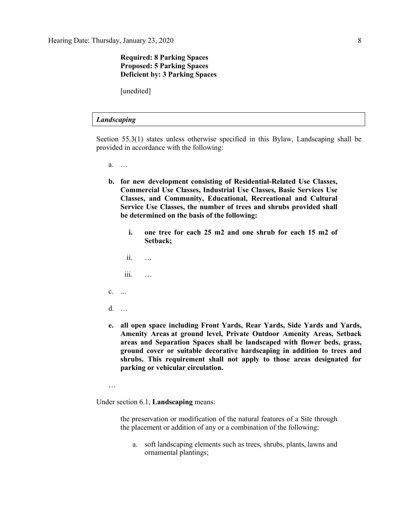## **Required: 8 Parking Spaces Proposed: 5 Parking Spaces Deficient by: 3 Parking Spaces**

[unedited]

#### *Landscaping*

Section 55.3(1) states unless otherwise specified in this Bylaw, Landscaping shall be provided in accordance with the following:

- a. …
- **b. for new development consisting of Residential-Related Use Classes, Commercial Use Classes, Industrial Use Classes, Basic Services Use Classes, and Community, Educational, Recreational and Cultural Service Use Classes, the number of trees and shrubs provided shall be determined on the basis of the following:**
	- **i. one tree for each 25 m2 and one shrub for each 15 m2 of Setback;**
	- ii. …
	- iii. …
- c. ...
- d. …
- **e. all open space including Front Yards, Rear Yards, Side Yards and Yards, Amenity Areas at ground level, Private Outdoor Amenity Areas, Setback areas and Separation Spaces shall be landscaped with flower beds, grass, ground cover or suitable decorative hardscaping in addition to trees and shrubs. This requirement shall not apply to those areas designated for parking or vehicular circulation.**
- …

Under section 6.1, **Landscaping** means:

the preservation or modification of the natural features of a Site through the placement or addition of any or a combination of the following:

a. soft landscaping elements such as trees, shrubs, plants, lawns and ornamental plantings;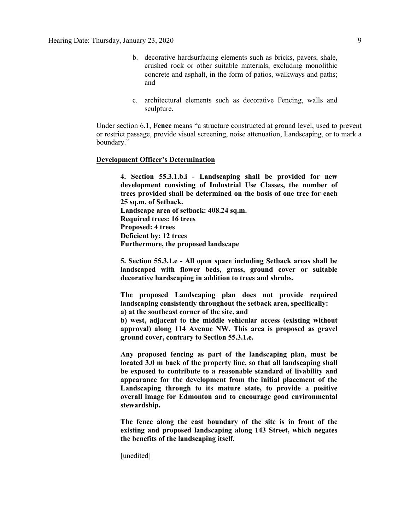- b. decorative hardsurfacing elements such as bricks, pavers, shale, crushed rock or other suitable materials, excluding monolithic concrete and asphalt, in the form of patios, walkways and paths; and
- c. architectural elements such as decorative Fencing, walls and sculpture.

Under section 6.1, **Fence** means "a structure constructed at ground level, used to prevent or restrict passage, provide visual screening, noise attenuation, Landscaping, or to mark a boundary."

#### **Development Officer's Determination**

**4. Section 55.3.1.b.i - Landscaping shall be provided for new development consisting of Industrial Use Classes, the number of trees provided shall be determined on the basis of one tree for each 25 sq.m. of Setback. Landscape area of setback: 408.24 sq.m. Required trees: 16 trees Proposed: 4 trees Deficient by: 12 trees Furthermore, the proposed landscape** 

**5. Section 55.3.1.e - All open space including Setback areas shall be landscaped with flower beds, grass, ground cover or suitable decorative hardscaping in addition to trees and shrubs.**

**The proposed Landscaping plan does not provide required landscaping consistently throughout the setback area, specifically: a) at the southeast corner of the site, and**

**b) west, adjacent to the middle vehicular access (existing without approval) along 114 Avenue NW. This area is proposed as gravel ground cover, contrary to Section 55.3.1.e.**

**Any proposed fencing as part of the landscaping plan, must be located 3.0 m back of the property line, so that all landscaping shall be exposed to contribute to a reasonable standard of livability and appearance for the development from the initial placement of the Landscaping through to its mature state, to provide a positive overall image for Edmonton and to encourage good environmental stewardship.** 

**The fence along the east boundary of the site is in front of the existing and proposed landscaping along 143 Street, which negates the benefits of the landscaping itself.** 

[unedited]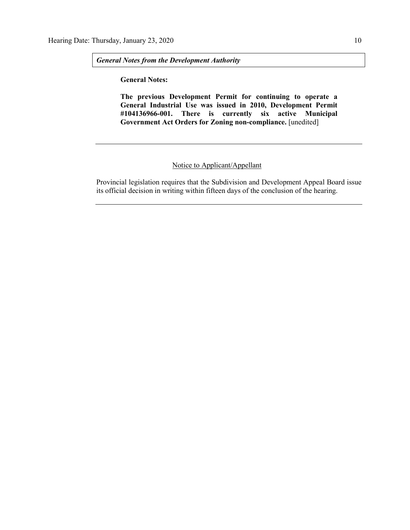*General Notes from the Development Authority*

**General Notes:**

**The previous Development Permit for continuing to operate a General Industrial Use was issued in 2010, Development Permit #104136966-001. There is currently six active Municipal Government Act Orders for Zoning non-compliance.** [unedited]

## Notice to Applicant/Appellant

Provincial legislation requires that the Subdivision and Development Appeal Board issue its official decision in writing within fifteen days of the conclusion of the hearing.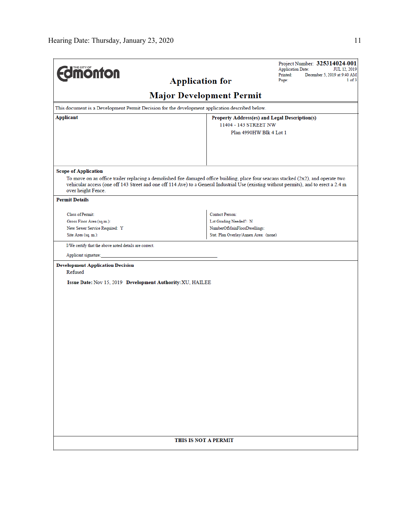|                                                                                                                                                                                                                                                                               |                                       | Project Number: 325314024-001<br><b>Application Date:</b><br>JUL 12, 2019 |  |  |  |  |  |
|-------------------------------------------------------------------------------------------------------------------------------------------------------------------------------------------------------------------------------------------------------------------------------|---------------------------------------|---------------------------------------------------------------------------|--|--|--|--|--|
| <b>monton</b><br><b>Application for</b>                                                                                                                                                                                                                                       |                                       | Printed:<br>December 5, 2019 at 9:40 AM<br>Page:<br>1 of 3                |  |  |  |  |  |
|                                                                                                                                                                                                                                                                               |                                       |                                                                           |  |  |  |  |  |
| <b>Major Development Permit</b>                                                                                                                                                                                                                                               |                                       |                                                                           |  |  |  |  |  |
| This document is a Development Permit Decision for the development application described below.                                                                                                                                                                               |                                       |                                                                           |  |  |  |  |  |
| Applicant<br>Property Address(es) and Legal Description(s)                                                                                                                                                                                                                    |                                       |                                                                           |  |  |  |  |  |
| 11404 - 143 STREET NW<br>Plan 4990HW Blk 4 Lot 1                                                                                                                                                                                                                              |                                       |                                                                           |  |  |  |  |  |
|                                                                                                                                                                                                                                                                               |                                       |                                                                           |  |  |  |  |  |
|                                                                                                                                                                                                                                                                               |                                       |                                                                           |  |  |  |  |  |
|                                                                                                                                                                                                                                                                               |                                       |                                                                           |  |  |  |  |  |
| <b>Scope of Application</b>                                                                                                                                                                                                                                                   |                                       |                                                                           |  |  |  |  |  |
| To move on an office trailer replacing a demolished fire damaged office building, place four seacans stacked (2x2), and operate two<br>vehicular access (one off 143 Street and one off 114 Ave) to a General Industrial Use (existing without permits), and to erect a 2.4 m |                                       |                                                                           |  |  |  |  |  |
| over height Fence.                                                                                                                                                                                                                                                            |                                       |                                                                           |  |  |  |  |  |
| <b>Permit Details</b>                                                                                                                                                                                                                                                         |                                       |                                                                           |  |  |  |  |  |
| Class of Permit:                                                                                                                                                                                                                                                              | <b>Contact Person:</b>                |                                                                           |  |  |  |  |  |
| Gross Floor Area (sq.m.):                                                                                                                                                                                                                                                     | Lot Grading Needed?: N                |                                                                           |  |  |  |  |  |
| New Sewer Service Required: Y<br>Site Area (sq. m.):                                                                                                                                                                                                                          | NumberOfMainFloorDwellings:           |                                                                           |  |  |  |  |  |
|                                                                                                                                                                                                                                                                               | Stat. Plan Overlay/Annex Area: (none) |                                                                           |  |  |  |  |  |
| I/We certify that the above noted details are correct.                                                                                                                                                                                                                        |                                       |                                                                           |  |  |  |  |  |
| Applicant signature:                                                                                                                                                                                                                                                          |                                       |                                                                           |  |  |  |  |  |
| <b>Development Application Decision</b><br>Refused                                                                                                                                                                                                                            |                                       |                                                                           |  |  |  |  |  |
| Issue Date: Nov 15, 2019 Development Authority: XU, HAILEE                                                                                                                                                                                                                    |                                       |                                                                           |  |  |  |  |  |
|                                                                                                                                                                                                                                                                               |                                       |                                                                           |  |  |  |  |  |
|                                                                                                                                                                                                                                                                               |                                       |                                                                           |  |  |  |  |  |
|                                                                                                                                                                                                                                                                               |                                       |                                                                           |  |  |  |  |  |
|                                                                                                                                                                                                                                                                               |                                       |                                                                           |  |  |  |  |  |
|                                                                                                                                                                                                                                                                               |                                       |                                                                           |  |  |  |  |  |
|                                                                                                                                                                                                                                                                               |                                       |                                                                           |  |  |  |  |  |
|                                                                                                                                                                                                                                                                               |                                       |                                                                           |  |  |  |  |  |
|                                                                                                                                                                                                                                                                               |                                       |                                                                           |  |  |  |  |  |
|                                                                                                                                                                                                                                                                               |                                       |                                                                           |  |  |  |  |  |
|                                                                                                                                                                                                                                                                               |                                       |                                                                           |  |  |  |  |  |
|                                                                                                                                                                                                                                                                               |                                       |                                                                           |  |  |  |  |  |
|                                                                                                                                                                                                                                                                               |                                       |                                                                           |  |  |  |  |  |
|                                                                                                                                                                                                                                                                               |                                       |                                                                           |  |  |  |  |  |
|                                                                                                                                                                                                                                                                               |                                       |                                                                           |  |  |  |  |  |
|                                                                                                                                                                                                                                                                               |                                       |                                                                           |  |  |  |  |  |
|                                                                                                                                                                                                                                                                               |                                       |                                                                           |  |  |  |  |  |
| THIS IS NOT A PERMIT                                                                                                                                                                                                                                                          |                                       |                                                                           |  |  |  |  |  |
|                                                                                                                                                                                                                                                                               |                                       |                                                                           |  |  |  |  |  |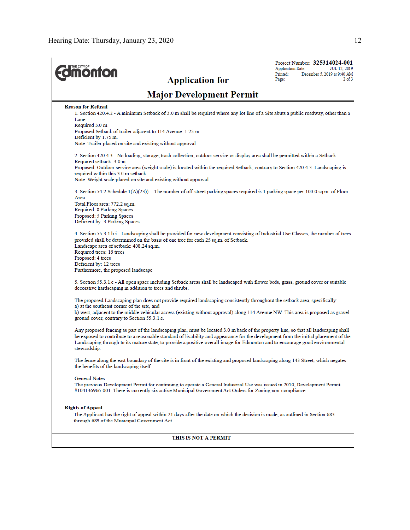| <b>Imonton</b><br><b>Application for</b>                                                                                                                                                                                                                                                                                                                                                                                      | Project Number: 325314024-001<br><b>Application Date:</b><br>JUL 12, 2019<br>Printed:<br>December 5, 2019 at 9:40 AM<br>$2$ of $3$<br>Page: |
|-------------------------------------------------------------------------------------------------------------------------------------------------------------------------------------------------------------------------------------------------------------------------------------------------------------------------------------------------------------------------------------------------------------------------------|---------------------------------------------------------------------------------------------------------------------------------------------|
| <b>Major Development Permit</b>                                                                                                                                                                                                                                                                                                                                                                                               |                                                                                                                                             |
| <b>Reason for Refusal</b><br>1. Section 420.4.2 - A minimum Setback of 3.0 m shall be required where any lot line of a Site abuts a public roadway, other than a<br>Lane.                                                                                                                                                                                                                                                     |                                                                                                                                             |
| Required 3.0 m<br>Proposed Setback of trailer adjacent to 114 Avenue: 1.25 m<br>Deficient by 1.75 m.<br>Note: Trailer placed on site and existing without approval.                                                                                                                                                                                                                                                           |                                                                                                                                             |
| 2. Section 420.4.3 - No loading, storage, trash collection, outdoor service or display area shall be permitted within a Setback.                                                                                                                                                                                                                                                                                              |                                                                                                                                             |
| Required setback: 3.0 m<br>Proposed: Outdoor service area (weight scale) is located within the required Setback, contrary to Section 420.4.3. Landscaping is<br>required within this 3.0 m setback.<br>Note: Weight scale placed on site and existing without approval.                                                                                                                                                       |                                                                                                                                             |
| 3. Section 54.2 Schedule 1(A)(23)) - The number of off-street parking spaces required is 1 parking space per 100.0 sq.m. of Floor<br>Area.<br>Total Floor area: 772.2 sq.m.<br>Required: 8 Parking Spaces<br>Proposed: 5 Parking Spaces<br>Deficient by: 3 Parking Spaces                                                                                                                                                     |                                                                                                                                             |
| 4. Section 55.3.1.b.i - Landscaping shall be provided for new development consisting of Industrial Use Classes, the number of trees<br>provided shall be determined on the basis of one tree for each 25 sq.m. of Setback.<br>Landscape area of setback: 408.24 sq.m.<br>Required trees: 16 trees<br>Proposed: 4 trees<br>Deficient by: 12 trees<br>Furthermore, the proposed landscape                                       |                                                                                                                                             |
| 5. Section 55.3.1.e - All open space including Setback areas shall be landscaped with flower beds, grass, ground cover or suitable<br>decorative hardscaping in addition to trees and shrubs.                                                                                                                                                                                                                                 |                                                                                                                                             |
| The proposed Landscaping plan does not provide required landscaping consistently throughout the setback area, specifically:<br>a) at the southeast corner of the site, and<br>b) west, adjacent to the middle vehicular access (existing without approval) along 114 Avenue NW. This area is proposed as gravel<br>ground cover, contrary to Section 55.3.1.e.                                                                |                                                                                                                                             |
| Any proposed fencing as part of the landscaping plan, must be located 3.0 m back of the property line, so that all landscaping shall<br>be exposed to contribute to a reasonable standard of livability and appearance for the development from the initial placement of the<br>Landscaping through to its mature state, to provide a positive overall image for Edmonton and to encourage good environmental<br>stewardship. |                                                                                                                                             |
| The fence along the east boundary of the site is in front of the existing and proposed landscaping along 143 Street, which negates<br>the benefits of the landscaping itself.                                                                                                                                                                                                                                                 |                                                                                                                                             |
| General Notes:<br>The previous Development Permit for continuing to operate a General Industrial Use was issued in 2010, Development Permit<br>#104136966-001. There is currently six active Municipal Government Act Orders for Zoning non-compliance.                                                                                                                                                                       |                                                                                                                                             |
| <b>Rights of Appeal</b><br>The Applicant has the right of appeal within 21 days after the date on which the decision is made, as outlined in Section 683<br>through 689 of the Municipal Government Act.                                                                                                                                                                                                                      |                                                                                                                                             |
| THIS IS NOT A PERMIT                                                                                                                                                                                                                                                                                                                                                                                                          |                                                                                                                                             |
|                                                                                                                                                                                                                                                                                                                                                                                                                               |                                                                                                                                             |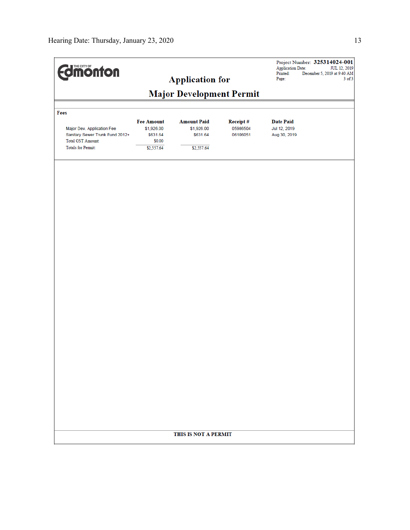| <b>Imonton</b>                                                                                                         |                                                                     | <b>Application for</b>                                     |                                  | <b>Application Date:</b><br>Printed:<br>Page:    | Project Number: 325314024-001<br>JUL 12, 2019<br>December 5, 2019 at 9:40 AM<br>$3$ of $3$ |
|------------------------------------------------------------------------------------------------------------------------|---------------------------------------------------------------------|------------------------------------------------------------|----------------------------------|--------------------------------------------------|--------------------------------------------------------------------------------------------|
|                                                                                                                        |                                                                     |                                                            |                                  |                                                  |                                                                                            |
|                                                                                                                        |                                                                     |                                                            |                                  |                                                  |                                                                                            |
| Fees                                                                                                                   |                                                                     |                                                            |                                  |                                                  |                                                                                            |
| Major Dev. Application Fee<br>Sanitary Sewer Trunk Fund 2012+<br><b>Total GST Amount:</b><br><b>Totals for Permit:</b> | <b>Fee Amount</b><br>\$1,926.00<br>\$631.64<br>\$0.00<br>\$2,557.64 | <b>Amount Paid</b><br>\$1,926.00<br>\$631.64<br>\$2,557.64 | Receipt#<br>05986504<br>06106051 | <b>Date Paid</b><br>Jul 12, 2019<br>Aug 30, 2019 |                                                                                            |
|                                                                                                                        |                                                                     |                                                            |                                  |                                                  |                                                                                            |
|                                                                                                                        |                                                                     |                                                            |                                  |                                                  |                                                                                            |
|                                                                                                                        |                                                                     | THIS IS NOT A PERMIT                                       |                                  |                                                  |                                                                                            |